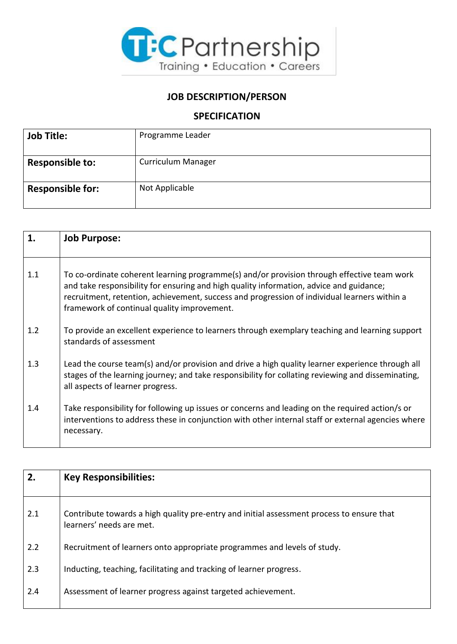

## **JOB DESCRIPTION/PERSON**

## **SPECIFICATION**

| <b>Job Title:</b>       | Programme Leader          |
|-------------------------|---------------------------|
|                         |                           |
| <b>Responsible to:</b>  | <b>Curriculum Manager</b> |
|                         |                           |
| <b>Responsible for:</b> | Not Applicable            |
|                         |                           |

| 1.  | <b>Job Purpose:</b>                                                                                                                                                                                                                                                                                                                  |
|-----|--------------------------------------------------------------------------------------------------------------------------------------------------------------------------------------------------------------------------------------------------------------------------------------------------------------------------------------|
| 1.1 | To co-ordinate coherent learning programme(s) and/or provision through effective team work<br>and take responsibility for ensuring and high quality information, advice and guidance;<br>recruitment, retention, achievement, success and progression of individual learners within a<br>framework of continual quality improvement. |
| 1.2 | To provide an excellent experience to learners through exemplary teaching and learning support<br>standards of assessment                                                                                                                                                                                                            |
| 1.3 | Lead the course team(s) and/or provision and drive a high quality learner experience through all<br>stages of the learning journey; and take responsibility for collating reviewing and disseminating,<br>all aspects of learner progress.                                                                                           |
| 1.4 | Take responsibility for following up issues or concerns and leading on the required action/s or<br>interventions to address these in conjunction with other internal staff or external agencies where<br>necessary.                                                                                                                  |

| 2.  | <b>Key Responsibilities:</b>                                                                                          |
|-----|-----------------------------------------------------------------------------------------------------------------------|
| 2.1 | Contribute towards a high quality pre-entry and initial assessment process to ensure that<br>learners' needs are met. |
| 2.2 | Recruitment of learners onto appropriate programmes and levels of study.                                              |
| 2.3 | Inducting, teaching, facilitating and tracking of learner progress.                                                   |
| 2.4 | Assessment of learner progress against targeted achievement.                                                          |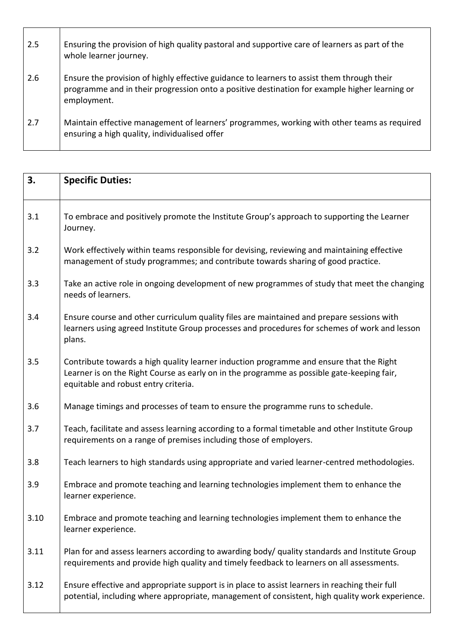| 2.5 | Ensuring the provision of high quality pastoral and supportive care of learners as part of the<br>whole learner journey.                                                                                   |
|-----|------------------------------------------------------------------------------------------------------------------------------------------------------------------------------------------------------------|
| 2.6 | Ensure the provision of highly effective guidance to learners to assist them through their<br>programme and in their progression onto a positive destination for example higher learning or<br>employment. |
| 2.7 | Maintain effective management of learners' programmes, working with other teams as required<br>ensuring a high quality, individualised offer                                                               |

| 3.   | <b>Specific Duties:</b>                                                                                                                                                                                                       |
|------|-------------------------------------------------------------------------------------------------------------------------------------------------------------------------------------------------------------------------------|
| 3.1  | To embrace and positively promote the Institute Group's approach to supporting the Learner<br>Journey.                                                                                                                        |
| 3.2  | Work effectively within teams responsible for devising, reviewing and maintaining effective<br>management of study programmes; and contribute towards sharing of good practice.                                               |
| 3.3  | Take an active role in ongoing development of new programmes of study that meet the changing<br>needs of learners.                                                                                                            |
| 3.4  | Ensure course and other curriculum quality files are maintained and prepare sessions with<br>learners using agreed Institute Group processes and procedures for schemes of work and lesson<br>plans.                          |
| 3.5  | Contribute towards a high quality learner induction programme and ensure that the Right<br>Learner is on the Right Course as early on in the programme as possible gate-keeping fair,<br>equitable and robust entry criteria. |
| 3.6  | Manage timings and processes of team to ensure the programme runs to schedule.                                                                                                                                                |
| 3.7  | Teach, facilitate and assess learning according to a formal timetable and other Institute Group<br>requirements on a range of premises including those of employers.                                                          |
| 3.8  | Teach learners to high standards using appropriate and varied learner-centred methodologies.                                                                                                                                  |
| 3.9  | Embrace and promote teaching and learning technologies implement them to enhance the<br>learner experience.                                                                                                                   |
| 3.10 | Embrace and promote teaching and learning technologies implement them to enhance the<br>learner experience.                                                                                                                   |
| 3.11 | Plan for and assess learners according to awarding body/ quality standards and Institute Group<br>requirements and provide high quality and timely feedback to learners on all assessments.                                   |
| 3.12 | Ensure effective and appropriate support is in place to assist learners in reaching their full<br>potential, including where appropriate, management of consistent, high quality work experience.                             |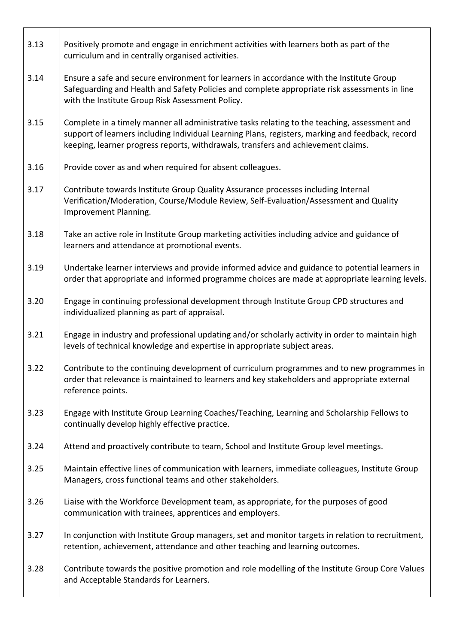| 3.13 | Positively promote and engage in enrichment activities with learners both as part of the<br>curriculum and in centrally organised activities.                                                                                                                                          |
|------|----------------------------------------------------------------------------------------------------------------------------------------------------------------------------------------------------------------------------------------------------------------------------------------|
| 3.14 | Ensure a safe and secure environment for learners in accordance with the Institute Group<br>Safeguarding and Health and Safety Policies and complete appropriate risk assessments in line<br>with the Institute Group Risk Assessment Policy.                                          |
| 3.15 | Complete in a timely manner all administrative tasks relating to the teaching, assessment and<br>support of learners including Individual Learning Plans, registers, marking and feedback, record<br>keeping, learner progress reports, withdrawals, transfers and achievement claims. |
| 3.16 | Provide cover as and when required for absent colleagues.                                                                                                                                                                                                                              |
| 3.17 | Contribute towards Institute Group Quality Assurance processes including Internal<br>Verification/Moderation, Course/Module Review, Self-Evaluation/Assessment and Quality<br>Improvement Planning.                                                                                    |
| 3.18 | Take an active role in Institute Group marketing activities including advice and guidance of<br>learners and attendance at promotional events.                                                                                                                                         |
| 3.19 | Undertake learner interviews and provide informed advice and guidance to potential learners in<br>order that appropriate and informed programme choices are made at appropriate learning levels.                                                                                       |
| 3.20 | Engage in continuing professional development through Institute Group CPD structures and<br>individualized planning as part of appraisal.                                                                                                                                              |
| 3.21 | Engage in industry and professional updating and/or scholarly activity in order to maintain high<br>levels of technical knowledge and expertise in appropriate subject areas.                                                                                                          |
| 3.22 | Contribute to the continuing development of curriculum programmes and to new programmes in<br>order that relevance is maintained to learners and key stakeholders and appropriate external<br>reference points.                                                                        |
| 3.23 | Engage with Institute Group Learning Coaches/Teaching, Learning and Scholarship Fellows to<br>continually develop highly effective practice.                                                                                                                                           |
| 3.24 | Attend and proactively contribute to team, School and Institute Group level meetings.                                                                                                                                                                                                  |
| 3.25 | Maintain effective lines of communication with learners, immediate colleagues, Institute Group<br>Managers, cross functional teams and other stakeholders.                                                                                                                             |
| 3.26 | Liaise with the Workforce Development team, as appropriate, for the purposes of good<br>communication with trainees, apprentices and employers.                                                                                                                                        |
| 3.27 | In conjunction with Institute Group managers, set and monitor targets in relation to recruitment,<br>retention, achievement, attendance and other teaching and learning outcomes.                                                                                                      |
| 3.28 | Contribute towards the positive promotion and role modelling of the Institute Group Core Values<br>and Acceptable Standards for Learners.                                                                                                                                              |

 $\Gamma$ 

Τ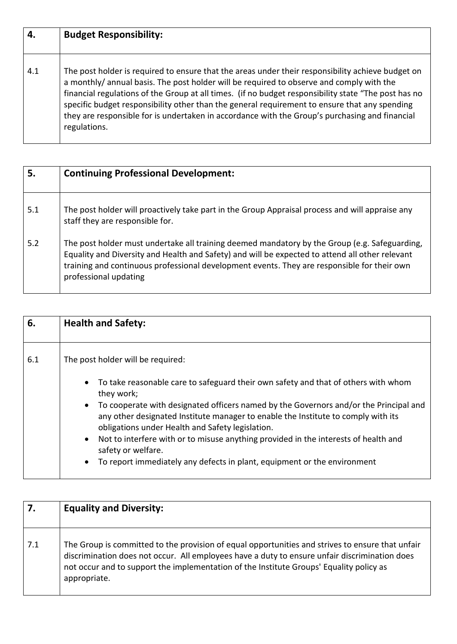| 4.  | <b>Budget Responsibility:</b>                                                                                                                                                                                                                                                                                                                                                                                                                                                                                           |
|-----|-------------------------------------------------------------------------------------------------------------------------------------------------------------------------------------------------------------------------------------------------------------------------------------------------------------------------------------------------------------------------------------------------------------------------------------------------------------------------------------------------------------------------|
|     |                                                                                                                                                                                                                                                                                                                                                                                                                                                                                                                         |
| 4.1 | The post holder is required to ensure that the areas under their responsibility achieve budget on<br>a monthly/annual basis. The post holder will be required to observe and comply with the<br>financial regulations of the Group at all times. (if no budget responsibility state "The post has no<br>specific budget responsibility other than the general requirement to ensure that any spending<br>they are responsible for is undertaken in accordance with the Group's purchasing and financial<br>regulations. |

| 5.  | <b>Continuing Professional Development:</b>                                                                                                                                                                                                                                                                              |
|-----|--------------------------------------------------------------------------------------------------------------------------------------------------------------------------------------------------------------------------------------------------------------------------------------------------------------------------|
| 5.1 | The post holder will proactively take part in the Group Appraisal process and will appraise any<br>staff they are responsible for.                                                                                                                                                                                       |
| 5.2 | The post holder must undertake all training deemed mandatory by the Group (e.g. Safeguarding,<br>Equality and Diversity and Health and Safety) and will be expected to attend all other relevant<br>training and continuous professional development events. They are responsible for their own<br>professional updating |

| 6.  | <b>Health and Safety:</b>                                                                                                                                                                                                                                                                                                                                                                                                                                                                                                                                            |
|-----|----------------------------------------------------------------------------------------------------------------------------------------------------------------------------------------------------------------------------------------------------------------------------------------------------------------------------------------------------------------------------------------------------------------------------------------------------------------------------------------------------------------------------------------------------------------------|
| 6.1 | The post holder will be required:                                                                                                                                                                                                                                                                                                                                                                                                                                                                                                                                    |
|     | • To take reasonable care to safeguard their own safety and that of others with whom<br>they work;<br>To cooperate with designated officers named by the Governors and/or the Principal and<br>$\bullet$<br>any other designated Institute manager to enable the Institute to comply with its<br>obligations under Health and Safety legislation.<br>Not to interfere with or to misuse anything provided in the interests of health and<br>$\bullet$<br>safety or welfare.<br>To report immediately any defects in plant, equipment or the environment<br>$\bullet$ |

| 7.  | <b>Equality and Diversity:</b>                                                                                                                                                                                                                                                                               |
|-----|--------------------------------------------------------------------------------------------------------------------------------------------------------------------------------------------------------------------------------------------------------------------------------------------------------------|
| 7.1 | The Group is committed to the provision of equal opportunities and strives to ensure that unfair<br>discrimination does not occur. All employees have a duty to ensure unfair discrimination does<br>not occur and to support the implementation of the Institute Groups' Equality policy as<br>appropriate. |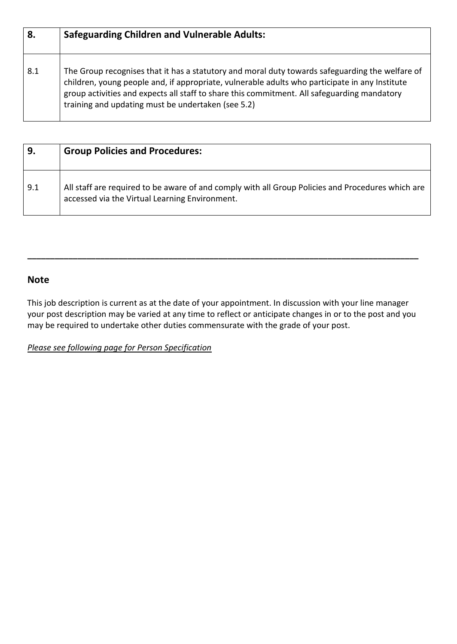| 8.  | <b>Safeguarding Children and Vulnerable Adults:</b>                                                                                                                                                                                                                                                                                                    |
|-----|--------------------------------------------------------------------------------------------------------------------------------------------------------------------------------------------------------------------------------------------------------------------------------------------------------------------------------------------------------|
| 8.1 | The Group recognises that it has a statutory and moral duty towards safeguarding the welfare of<br>children, young people and, if appropriate, vulnerable adults who participate in any Institute<br>group activities and expects all staff to share this commitment. All safeguarding mandatory<br>training and updating must be undertaken (see 5.2) |

| 9.  | <b>Group Policies and Procedures:</b>                                                                                                               |
|-----|-----------------------------------------------------------------------------------------------------------------------------------------------------|
| 9.1 | All staff are required to be aware of and comply with all Group Policies and Procedures which are<br>accessed via the Virtual Learning Environment. |

## **Note**

This job description is current as at the date of your appointment. In discussion with your line manager your post description may be varied at any time to reflect or anticipate changes in or to the post and you may be required to undertake other duties commensurate with the grade of your post.

**\_\_\_\_\_\_\_\_\_\_\_\_\_\_\_\_\_\_\_\_\_\_\_\_\_\_\_\_\_\_\_\_\_\_\_\_\_\_\_\_\_\_\_\_\_\_\_\_\_\_\_\_\_\_\_\_\_\_\_\_\_\_\_\_\_\_\_\_\_\_\_\_\_\_\_\_\_\_\_\_\_\_\_\_\_\_** 

*Please see following page for Person Specification*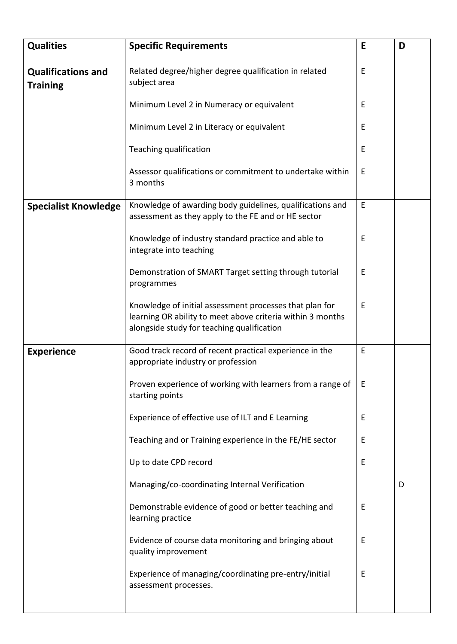| Related degree/higher degree qualification in related<br>E<br><b>Qualifications and</b><br>subject area<br><b>Training</b><br>Minimum Level 2 in Numeracy or equivalent<br>Е<br>Minimum Level 2 in Literacy or equivalent<br>Е<br>Teaching qualification<br>Е<br>Assessor qualifications or commitment to undertake within<br>E<br>3 months<br>E<br>Knowledge of awarding body guidelines, qualifications and<br><b>Specialist Knowledge</b><br>assessment as they apply to the FE and or HE sector<br>Knowledge of industry standard practice and able to<br>Е<br>integrate into teaching<br>Demonstration of SMART Target setting through tutorial<br>Ε<br>programmes<br>Knowledge of initial assessment processes that plan for<br>Е<br>learning OR ability to meet above criteria within 3 months<br>alongside study for teaching qualification<br>E<br>Good track record of recent practical experience in the<br><b>Experience</b><br>appropriate industry or profession<br>Proven experience of working with learners from a range of<br>Ε<br>starting points<br>Experience of effective use of ILT and E Learning<br>Ε<br>Teaching and or Training experience in the FE/HE sector<br>Ε<br>Up to date CPD record<br>Е<br>Managing/co-coordinating Internal Verification<br>D<br>Demonstrable evidence of good or better teaching and<br>Ε | <b>Qualities</b> | <b>Specific Requirements</b> | E | D |
|--------------------------------------------------------------------------------------------------------------------------------------------------------------------------------------------------------------------------------------------------------------------------------------------------------------------------------------------------------------------------------------------------------------------------------------------------------------------------------------------------------------------------------------------------------------------------------------------------------------------------------------------------------------------------------------------------------------------------------------------------------------------------------------------------------------------------------------------------------------------------------------------------------------------------------------------------------------------------------------------------------------------------------------------------------------------------------------------------------------------------------------------------------------------------------------------------------------------------------------------------------------------------------------------------------------------------------------------------|------------------|------------------------------|---|---|
|                                                                                                                                                                                                                                                                                                                                                                                                                                                                                                                                                                                                                                                                                                                                                                                                                                                                                                                                                                                                                                                                                                                                                                                                                                                                                                                                                  |                  |                              |   |   |
|                                                                                                                                                                                                                                                                                                                                                                                                                                                                                                                                                                                                                                                                                                                                                                                                                                                                                                                                                                                                                                                                                                                                                                                                                                                                                                                                                  |                  |                              |   |   |
|                                                                                                                                                                                                                                                                                                                                                                                                                                                                                                                                                                                                                                                                                                                                                                                                                                                                                                                                                                                                                                                                                                                                                                                                                                                                                                                                                  |                  |                              |   |   |
|                                                                                                                                                                                                                                                                                                                                                                                                                                                                                                                                                                                                                                                                                                                                                                                                                                                                                                                                                                                                                                                                                                                                                                                                                                                                                                                                                  |                  |                              |   |   |
|                                                                                                                                                                                                                                                                                                                                                                                                                                                                                                                                                                                                                                                                                                                                                                                                                                                                                                                                                                                                                                                                                                                                                                                                                                                                                                                                                  |                  |                              |   |   |
|                                                                                                                                                                                                                                                                                                                                                                                                                                                                                                                                                                                                                                                                                                                                                                                                                                                                                                                                                                                                                                                                                                                                                                                                                                                                                                                                                  |                  |                              |   |   |
|                                                                                                                                                                                                                                                                                                                                                                                                                                                                                                                                                                                                                                                                                                                                                                                                                                                                                                                                                                                                                                                                                                                                                                                                                                                                                                                                                  |                  |                              |   |   |
|                                                                                                                                                                                                                                                                                                                                                                                                                                                                                                                                                                                                                                                                                                                                                                                                                                                                                                                                                                                                                                                                                                                                                                                                                                                                                                                                                  |                  |                              |   |   |
|                                                                                                                                                                                                                                                                                                                                                                                                                                                                                                                                                                                                                                                                                                                                                                                                                                                                                                                                                                                                                                                                                                                                                                                                                                                                                                                                                  |                  |                              |   |   |
|                                                                                                                                                                                                                                                                                                                                                                                                                                                                                                                                                                                                                                                                                                                                                                                                                                                                                                                                                                                                                                                                                                                                                                                                                                                                                                                                                  |                  |                              |   |   |
|                                                                                                                                                                                                                                                                                                                                                                                                                                                                                                                                                                                                                                                                                                                                                                                                                                                                                                                                                                                                                                                                                                                                                                                                                                                                                                                                                  |                  |                              |   |   |
|                                                                                                                                                                                                                                                                                                                                                                                                                                                                                                                                                                                                                                                                                                                                                                                                                                                                                                                                                                                                                                                                                                                                                                                                                                                                                                                                                  |                  |                              |   |   |
|                                                                                                                                                                                                                                                                                                                                                                                                                                                                                                                                                                                                                                                                                                                                                                                                                                                                                                                                                                                                                                                                                                                                                                                                                                                                                                                                                  |                  |                              |   |   |
|                                                                                                                                                                                                                                                                                                                                                                                                                                                                                                                                                                                                                                                                                                                                                                                                                                                                                                                                                                                                                                                                                                                                                                                                                                                                                                                                                  |                  |                              |   |   |
|                                                                                                                                                                                                                                                                                                                                                                                                                                                                                                                                                                                                                                                                                                                                                                                                                                                                                                                                                                                                                                                                                                                                                                                                                                                                                                                                                  |                  |                              |   |   |
|                                                                                                                                                                                                                                                                                                                                                                                                                                                                                                                                                                                                                                                                                                                                                                                                                                                                                                                                                                                                                                                                                                                                                                                                                                                                                                                                                  |                  | learning practice            |   |   |
| Evidence of course data monitoring and bringing about<br>E<br>quality improvement                                                                                                                                                                                                                                                                                                                                                                                                                                                                                                                                                                                                                                                                                                                                                                                                                                                                                                                                                                                                                                                                                                                                                                                                                                                                |                  |                              |   |   |
| Experience of managing/coordinating pre-entry/initial<br>Ε<br>assessment processes.                                                                                                                                                                                                                                                                                                                                                                                                                                                                                                                                                                                                                                                                                                                                                                                                                                                                                                                                                                                                                                                                                                                                                                                                                                                              |                  |                              |   |   |